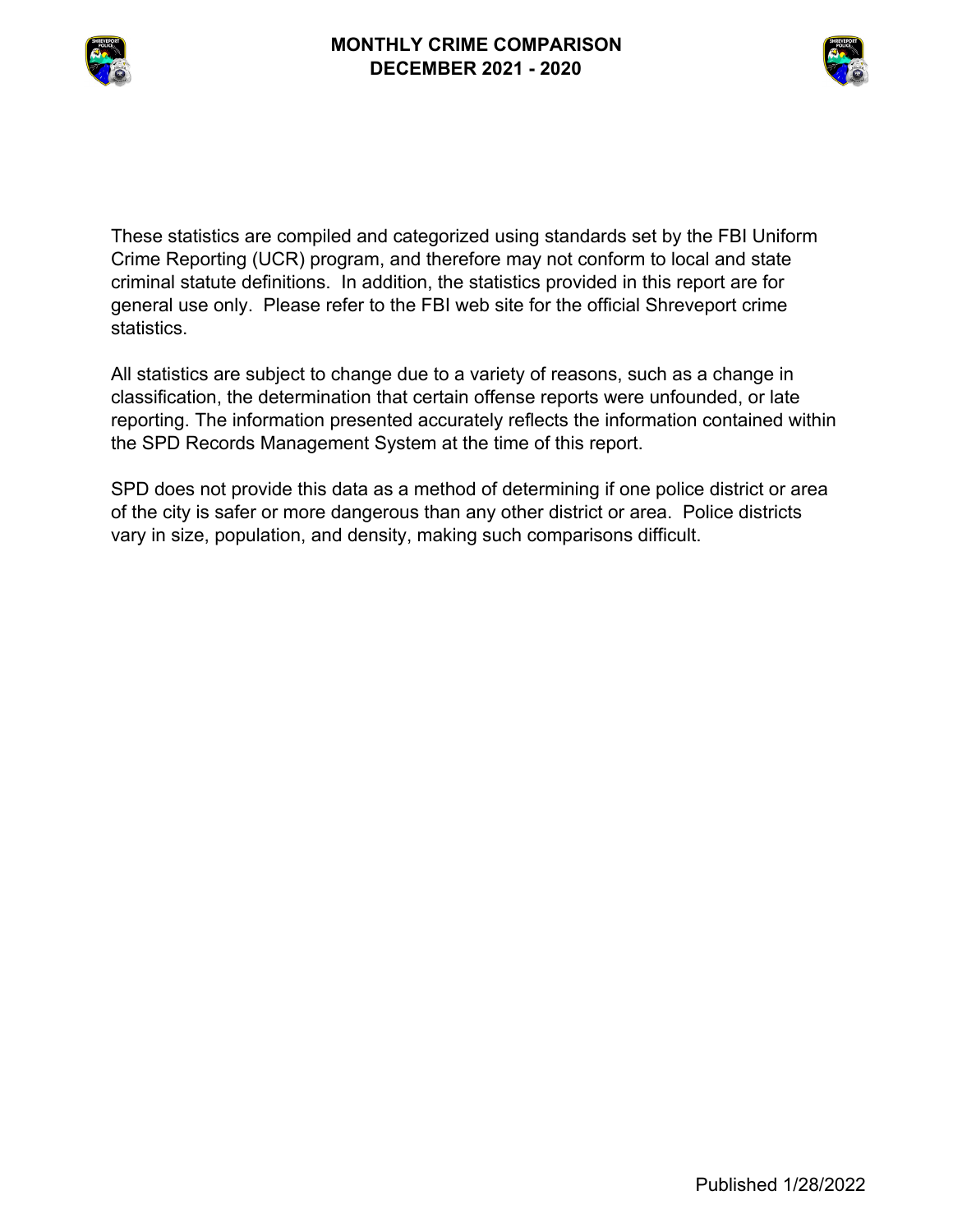



These statistics are compiled and categorized using standards set by the FBI Uniform Crime Reporting (UCR) program, and therefore may not conform to local and state criminal statute definitions. In addition, the statistics provided in this report are for general use only. Please refer to the FBI web site for the official Shreveport crime statistics.

All statistics are subject to change due to a variety of reasons, such as a change in classification, the determination that certain offense reports were unfounded, or late reporting. The information presented accurately reflects the information contained within the SPD Records Management System at the time of this report.

SPD does not provide this data as a method of determining if one police district or area of the city is safer or more dangerous than any other district or area. Police districts vary in size, population, and density, making such comparisons difficult.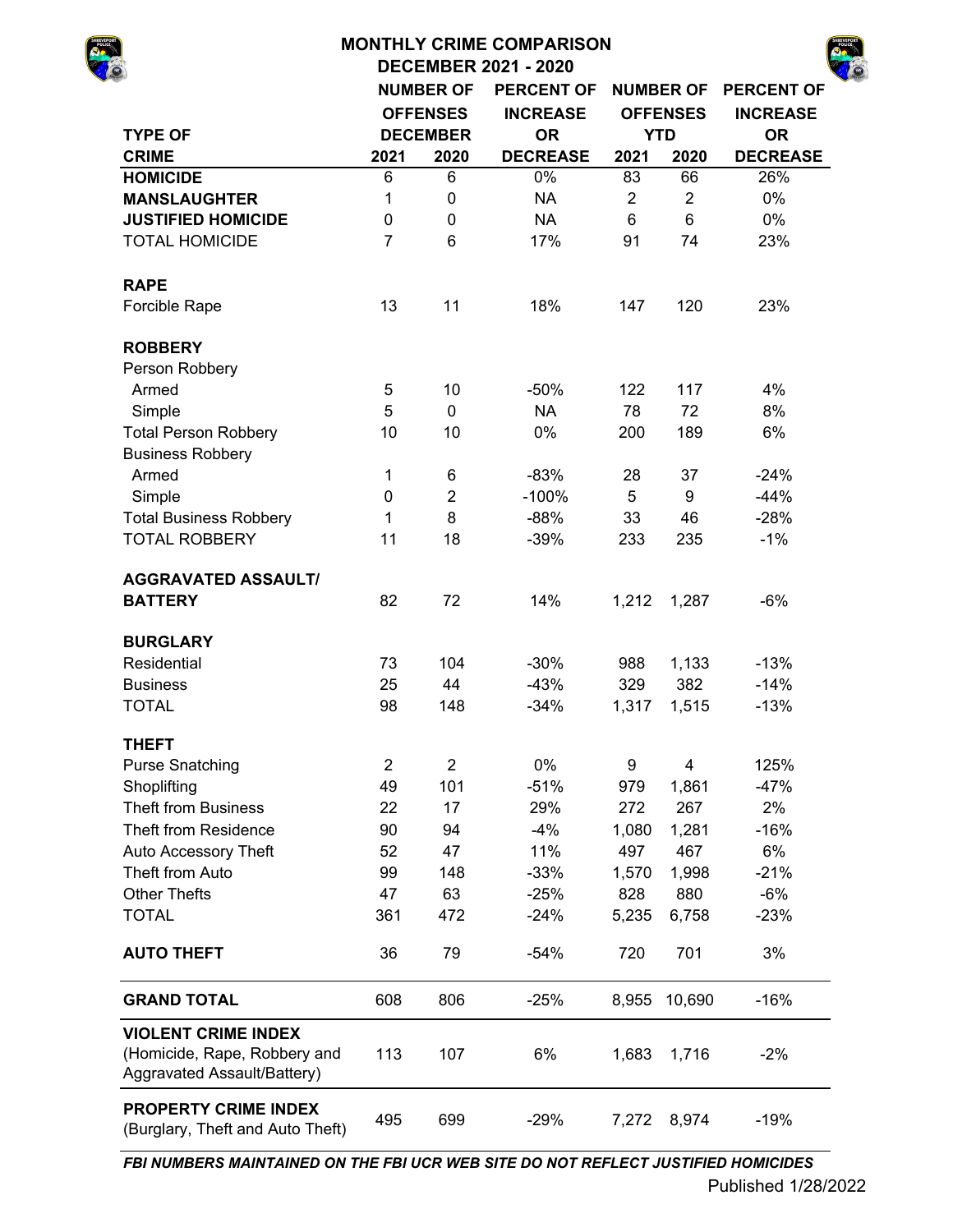# **MONTHLY CRIME COMPARISON**

**DECEMBER 2021 - 2020**

| SHREVEPORT |  |
|------------|--|
|            |  |
|            |  |
|            |  |

|                                                                                           |                | <b>NUMBER OF</b> | <b>PERCENT OF</b> |                | <b>NUMBER OF</b> | <b>PERCENT OF</b> |
|-------------------------------------------------------------------------------------------|----------------|------------------|-------------------|----------------|------------------|-------------------|
|                                                                                           |                | <b>OFFENSES</b>  | <b>INCREASE</b>   |                | <b>OFFENSES</b>  | <b>INCREASE</b>   |
| <b>TYPE OF</b>                                                                            |                | <b>DECEMBER</b>  | <b>OR</b>         |                | <b>YTD</b>       | <b>OR</b>         |
| <b>CRIME</b>                                                                              | 2021           | 2020             | <b>DECREASE</b>   | 2021           | 2020             | <b>DECREASE</b>   |
| <b>HOMICIDE</b>                                                                           | 6              | 6                | 0%                | 83             | 66               | 26%               |
| <b>MANSLAUGHTER</b>                                                                       | 1              | 0                | <b>NA</b>         | $\overline{c}$ | $\overline{c}$   | 0%                |
| <b>JUSTIFIED HOMICIDE</b>                                                                 | $\pmb{0}$      | 0                | <b>NA</b>         | $6\phantom{1}$ | $6\phantom{1}$   | 0%                |
| <b>TOTAL HOMICIDE</b>                                                                     | $\overline{7}$ | 6                | 17%               | 91             | 74               | 23%               |
| <b>RAPE</b>                                                                               |                |                  |                   |                |                  |                   |
| Forcible Rape                                                                             | 13             | 11               | 18%               | 147            | 120              | 23%               |
| <b>ROBBERY</b>                                                                            |                |                  |                   |                |                  |                   |
| Person Robbery                                                                            |                |                  |                   |                |                  |                   |
| Armed                                                                                     | 5              | 10               | $-50%$            | 122            | 117              | 4%                |
| Simple                                                                                    | 5              | $\mathbf 0$      | <b>NA</b>         | 78             | 72               | 8%                |
| <b>Total Person Robbery</b>                                                               | 10             | 10               | 0%                | 200            | 189              | 6%                |
| <b>Business Robbery</b>                                                                   |                |                  |                   |                |                  |                   |
| Armed                                                                                     | 1              | 6                | $-83%$            | 28             | 37               | $-24%$            |
| Simple                                                                                    | $\pmb{0}$      | $\overline{2}$   | $-100%$           | 5              | 9                | $-44%$            |
| <b>Total Business Robbery</b>                                                             | 1              | 8                | $-88%$            | 33             | 46               | $-28%$            |
| <b>TOTAL ROBBERY</b>                                                                      | 11             | 18               | $-39%$            | 233            | 235              | $-1%$             |
| <b>AGGRAVATED ASSAULT/</b>                                                                |                |                  |                   |                |                  |                   |
| <b>BATTERY</b>                                                                            | 82             | 72               | 14%               | 1,212          | 1,287            | $-6%$             |
| <b>BURGLARY</b>                                                                           |                |                  |                   |                |                  |                   |
| Residential                                                                               | 73             | 104              | $-30%$            | 988            | 1,133            | $-13%$            |
| <b>Business</b>                                                                           | 25             | 44               | $-43%$            | 329            | 382              | $-14%$            |
| <b>TOTAL</b>                                                                              | 98             | 148              | $-34%$            | 1,317          | 1,515            | $-13%$            |
| <b>THEFT</b>                                                                              |                |                  |                   |                |                  |                   |
| <b>Purse Snatching</b>                                                                    | $\overline{2}$ | $\overline{2}$   | 0%                | 9              | 4                | 125%              |
| Shoplifting                                                                               | 49             | 101              | $-51%$            | 979            | 1,861            | $-47%$            |
| <b>Theft from Business</b>                                                                | 22             | 17               | 29%               | 272            | 267              | 2%                |
| <b>Theft from Residence</b>                                                               | 90             | 94               | $-4%$             | 1,080          | 1,281            | $-16%$            |
| Auto Accessory Theft                                                                      | 52             | 47               | 11%               | 497            | 467              | 6%                |
| Theft from Auto                                                                           | 99             | 148              | $-33%$            | 1,570          | 1,998            | $-21%$            |
| <b>Other Thefts</b>                                                                       | 47             | 63               | $-25%$            | 828            | 880              | $-6%$             |
| <b>TOTAL</b>                                                                              | 361            | 472              | $-24%$            | 5,235          | 6,758            | $-23%$            |
| <b>AUTO THEFT</b>                                                                         | 36             | 79               | $-54%$            | 720            | 701              | 3%                |
| <b>GRAND TOTAL</b>                                                                        | 608            | 806              | $-25%$            | 8,955          | 10,690           | $-16%$            |
| <b>VIOLENT CRIME INDEX</b><br>(Homicide, Rape, Robbery and<br>Aggravated Assault/Battery) | 113            | 107              | 6%                | 1,683          | 1,716            | $-2%$             |
| <b>PROPERTY CRIME INDEX</b><br>(Burglary, Theft and Auto Theft)                           | 495            | 699              | $-29%$            | 7,272          | 8,974            | $-19%$            |

*FBI NUMBERS MAINTAINED ON THE FBI UCR WEB SITE DO NOT REFLECT JUSTIFIED HOMICIDES*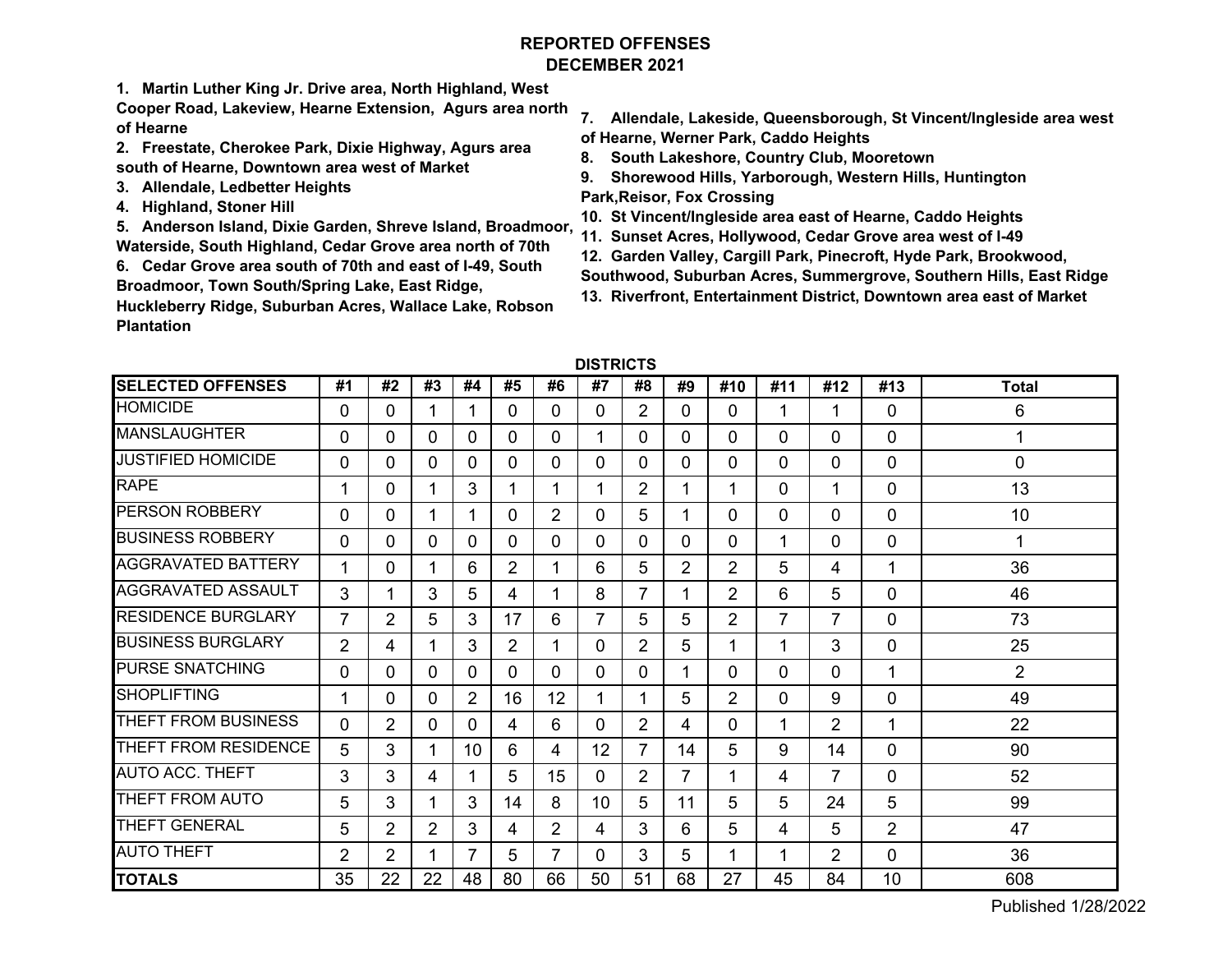# **REPORTED OFFENSESDECEMBER 2021**

**1. Martin Luther King Jr. Drive area, North Highland, West** 

**Cooper Road, Lakeview, Hearne Extension, Agurs area north of Hearne**

- **2. Freestate, Cherokee Park, Dixie Highway, Agurs area south of Hearne, Downtown area west of Market**
- **3. Allendale, Ledbetter Heights**
- **4. Highland, Stoner Hill**

**5. Anderson Island, Dixie Garden, Shreve Island, Broadmoor, Waterside, South Highland, Cedar Grove area north of 70th**

**6. Cedar Grove area south of 70th and east of I-49, South Broadmoor, Town South/Spring Lake, East Ridge,** 

**Huckleberry Ridge, Suburban Acres, Wallace Lake, Robson Plantation** 

- **7. Allendale, Lakeside, Queensborough, St Vincent/Ingleside area west of Hearne, Werner Park, Caddo Heights**
- **8. South Lakeshore, Country Club, Mooretown**
- **9. Shorewood Hills, Yarborough, Western Hills, Huntington Park,Reisor, Fox Crossing**
- **10. St Vincent/Ingleside area east of Hearne, Caddo Heights**
- **11. Sunset Acres, Hollywood, Cedar Grove area west of I-49**
- **12. Garden Valley, Cargill Park, Pinecroft, Hyde Park, Brookwood,**
- **Southwood, Suburban Acres, Summergrove, Southern Hills, East Ridge**
- **13. Riverfront, Entertainment District, Downtown area east of Market**

| <b>DISTRICTS</b> |  |
|------------------|--|
|------------------|--|

| <b>SELECTED OFFENSES</b>  | #1             | #2             | #3 | #4             | #5             | #6             | #7 | #8             | #9             | #10 | #11 | #12            | #13            | <b>Total</b>   |
|---------------------------|----------------|----------------|----|----------------|----------------|----------------|----|----------------|----------------|-----|-----|----------------|----------------|----------------|
| <b>HOMICIDE</b>           | 0              | $\Omega$       |    |                | 0              | 0              | 0  | $\overline{2}$ | $\Omega$       | 0   | 1   | 1              | 0              | 6              |
| <b>MANSLAUGHTER</b>       | 0              | 0              | 0  | 0              | 0              | 0              | 1  | $\Omega$       | 0              | 0   | 0   | $\Omega$       | 0              | 1              |
| <b>JUSTIFIED HOMICIDE</b> | 0              | $\mathbf{0}$   | 0  | $\mathbf{0}$   | 0              | $\Omega$       | 0  | $\mathbf{0}$   | $\overline{0}$ | 0   | 0   | $\Omega$       | 0              | 0              |
| <b>RAPE</b>               |                | 0              |    | 3              | 1              |                | 1  | $\overline{2}$ |                |     | 0   | 1              | 0              | 13             |
| <b>PERSON ROBBERY</b>     | 0              | $\Omega$       |    |                | 0              | $\overline{2}$ | 0  | 5              | 1              | 0   | 0   | $\mathbf{0}$   | 0              | 10             |
| <b>BUSINESS ROBBERY</b>   | 0              | $\Omega$       | 0  | 0              | 0              | 0              | 0  | $\Omega$       | $\Omega$       | 0   | 1   | $\mathbf{0}$   | 0              | 1              |
| <b>AGGRAVATED BATTERY</b> | 1              | 0              |    | 6              | $\overline{2}$ |                | 6  | 5              | $\overline{2}$ | 2   | 5   | 4              | 1              | 36             |
| <b>AGGRAVATED ASSAULT</b> | 3              | 1              | 3  | 5              | 4              |                | 8  | 7              |                | 2   | 6   | 5              | 0              | 46             |
| <b>RESIDENCE BURGLARY</b> | $\overline{7}$ | $\overline{2}$ | 5  | 3              | 17             | 6              | 7  | 5              | 5              | 2   | 7   | 7              | 0              | 73             |
| <b>BUSINESS BURGLARY</b>  | $\overline{2}$ | 4              |    | 3              | $\overline{2}$ |                | 0  | $\overline{2}$ | 5              |     | 1   | 3              | 0              | 25             |
| <b>PURSE SNATCHING</b>    | 0              | 0              | 0  | 0              | 0              | $\Omega$       | 0  | $\Omega$       |                | 0   | 0   | 0              | 1              | $\overline{2}$ |
| <b>SHOPLIFTING</b>        |                | 0              | 0  | 2              | 16             | 12             | 1  | 1              | 5              | 2   | 0   | 9              | 0              | 49             |
| THEFT FROM BUSINESS       | 0              | $\overline{2}$ | 0  | $\Omega$       | 4              | 6              | 0  | $\overline{2}$ | 4              | 0   | 1   | $\overline{2}$ | 1              | 22             |
| THEFT FROM RESIDENCE      | 5              | 3              |    | 10             | 6              | 4              | 12 | 7              | 14             | 5   | 9   | 14             | 0              | 90             |
| <b>AUTO ACC. THEFT</b>    | 3              | 3              | 4  |                | 5              | 15             | 0  | 2              | 7              |     | 4   | 7              | 0              | 52             |
| THEFT FROM AUTO           | 5              | 3              |    | 3              | 14             | 8              | 10 | 5              | 11             | 5   | 5   | 24             | 5              | 99             |
| <b>THEFT GENERAL</b>      | 5              | $\overline{2}$ | 2  | 3              | 4              | $\overline{2}$ | 4  | 3              | 6              | 5   | 4   | 5              | $\overline{2}$ | 47             |
| <b>AUTO THEFT</b>         | $\overline{2}$ | $\overline{2}$ |    | $\overline{7}$ | 5              |                | 0  | 3              | 5              |     | 1   | $\overline{2}$ | 0              | 36             |
| <b>TOTALS</b>             | 35             | 22             | 22 | 48             | 80             | 66             | 50 | 51             | 68             | 27  | 45  | 84             | 10             | 608            |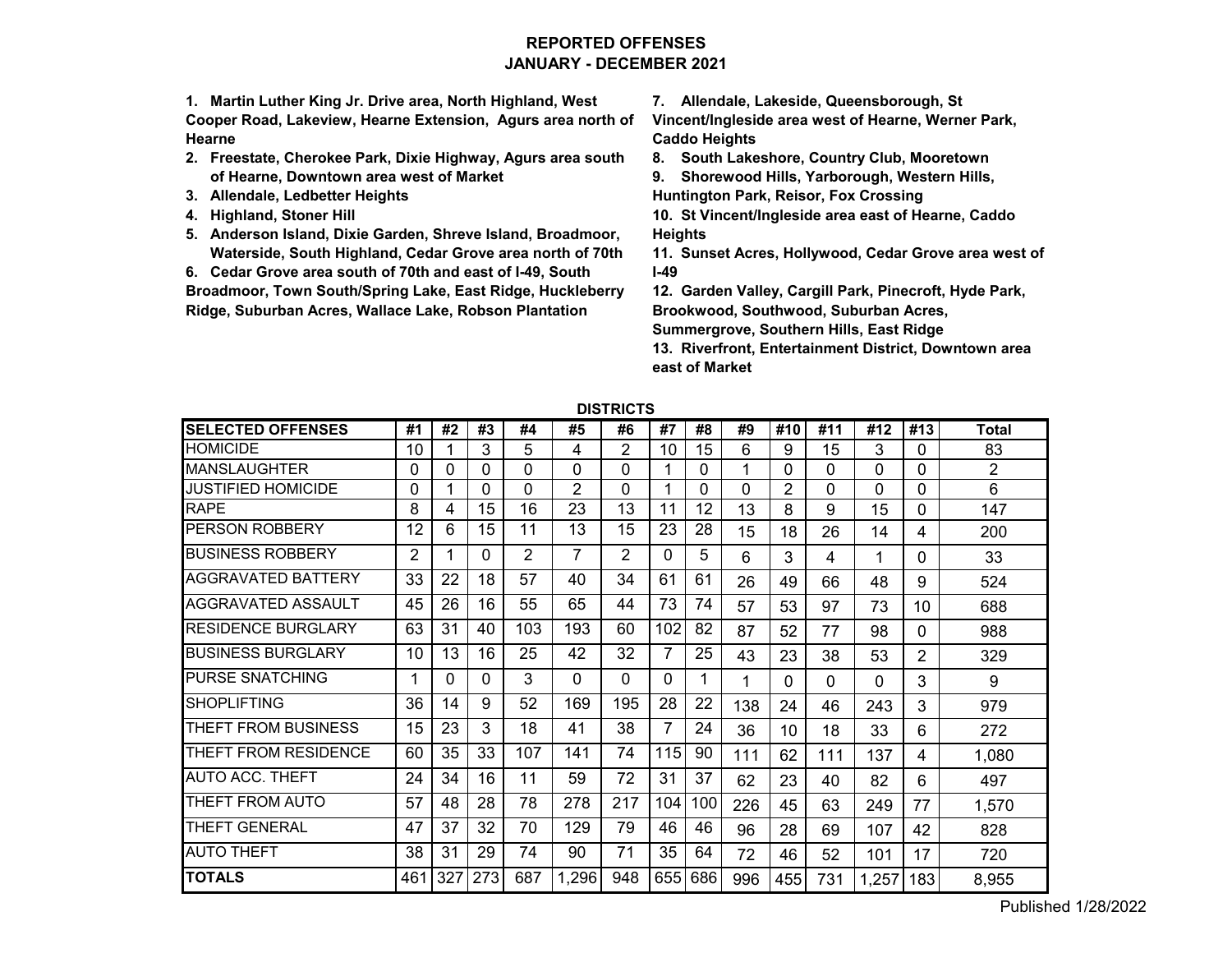# **REPORTED OFFENSESJANUARY - DECEMBER 2021**

**1. Martin Luther King Jr. Drive area, North Highland, West Cooper Road, Lakeview, Hearne Extension, Agurs area north of Hearne**

- **2. Freestate, Cherokee Park, Dixie Highway, Agurs area south of Hearne, Downtown area west of Market**
- **3. Allendale, Ledbetter Heights**
- **4. Highland, Stoner Hill**
- **5. Anderson Island, Dixie Garden, Shreve Island, Broadmoor, Waterside, South Highland, Cedar Grove area north of 70th**

**6. Cedar Grove area south of 70th and east of I-49, South** 

**Broadmoor, Town South/Spring Lake, East Ridge, Huckleberry Ridge, Suburban Acres, Wallace Lake, Robson Plantation** 

**7. Allendale, Lakeside, Queensborough, St** 

**Vincent/Ingleside area west of Hearne, Werner Park, Caddo Heights**

**8. South Lakeshore, Country Club, Mooretown**

**9. Shorewood Hills, Yarborough, Western Hills, Huntington Park, Reisor, Fox Crossing**

**10. St Vincent/Ingleside area east of Hearne, Caddo Heights**

**11. Sunset Acres, Hollywood, Cedar Grove area west of I-49**

**12. Garden Valley, Cargill Park, Pinecroft, Hyde Park, Brookwood, Southwood, Suburban Acres,** 

**Summergrove, Southern Hills, East Ridge**

**13. Riverfront, Entertainment District, Downtown area east of Market**

| <b>SELECTED OFFENSES</b>  | #1  | #2  | #3       | #4  | #5             | #6       | #7  | #8  | #9  | #10 | #11 | #12      | #13 | <b>Total</b>   |
|---------------------------|-----|-----|----------|-----|----------------|----------|-----|-----|-----|-----|-----|----------|-----|----------------|
| <b>HOMICIDE</b>           | 10  |     | 3        | 5   | 4              | 2        | 10  | 15  | 6   | 9   | 15  | 3        | 0   | 83             |
| <b>MANSLAUGHTER</b>       | 0   | 0   | 0        | 0   | $\Omega$       | 0        |     | 0   | 1   | 0   | 0   | 0        | 0   | $\overline{2}$ |
| JUSTIFIED HOMICIDE        | 0   |     | 0        | 0   | $\overline{2}$ | 0        |     | 0   | 0   | 2   | 0   | 0        | 0   | 6              |
| <b>RAPE</b>               | 8   | 4   | 15       | 16  | 23             | 13       | 11  | 12  | 13  | 8   | 9   | 15       | 0   | 147            |
| PERSON ROBBERY            | 12  | 6   | 15       | 11  | 13             | 15       | 23  | 28  | 15  | 18  | 26  | 14       | 4   | 200            |
| <b>BUSINESS ROBBERY</b>   | 2   |     | 0        | 2   | 7              | 2        | 0   | 5   | 6   | 3   | 4   | 1        | 0   | 33             |
| AGGRAVATED BATTERY        | 33  | 22  | 18       | 57  | 40             | 34       | 61  | 61  | 26  | 49  | 66  | 48       | 9   | 524            |
| AGGRAVATED ASSAULT        | 45  | 26  | 16       | 55  | 65             | 44       | 73  | 74  | 57  | 53  | 97  | 73       | 10  | 688            |
| <b>RESIDENCE BURGLARY</b> | 63  | 31  | 40       | 103 | 193            | 60       | 102 | 82  | 87  | 52  | 77  | 98       | 0   | 988            |
| <b>BUSINESS BURGLARY</b>  | 10  | 13  | 16       | 25  | 42             | 32       | 7   | 25  | 43  | 23  | 38  | 53       | 2   | 329            |
| <b>PURSE SNATCHING</b>    |     | 0   | $\Omega$ | 3   | $\Omega$       | $\Omega$ | 0   |     | 1   | 0   | 0   | $\Omega$ | 3   | 9              |
| <b>SHOPLIFTING</b>        | 36  | 14  | 9        | 52  | 169            | 195      | 28  | 22  | 138 | 24  | 46  | 243      | 3   | 979            |
| THEFT FROM BUSINESS       | 15  | 23  | 3        | 18  | 41             | 38       | 7   | 24  | 36  | 10  | 18  | 33       | 6   | 272            |
| THEFT FROM RESIDENCE      | 60  | 35  | 33       | 107 | 141            | 74       | 115 | 90  | 111 | 62  | 111 | 137      | 4   | 1,080          |
| <b>AUTO ACC. THEFT</b>    | 24  | 34  | 16       | 11  | 59             | 72       | 31  | 37  | 62  | 23  | 40  | 82       | 6   | 497            |
| THEFT FROM AUTO           | 57  | 48  | 28       | 78  | 278            | 217      | 104 | 100 | 226 | 45  | 63  | 249      | 77  | 1,570          |
| THEFT GENERAL             | 47  | 37  | 32       | 70  | 129            | 79       | 46  | 46  | 96  | 28  | 69  | 107      | 42  | 828            |
| <b>AUTO THEFT</b>         | 38  | 31  | 29       | 74  | 90             | 71       | 35  | 64  | 72  | 46  | 52  | 101      | 17  | 720            |
| <b>TOTALS</b>             | 461 | 327 | 273      | 687 | 1,296          | 948      | 655 | 686 | 996 | 455 | 731 | 1,257    | 183 | 8,955          |

**DISTRICTS**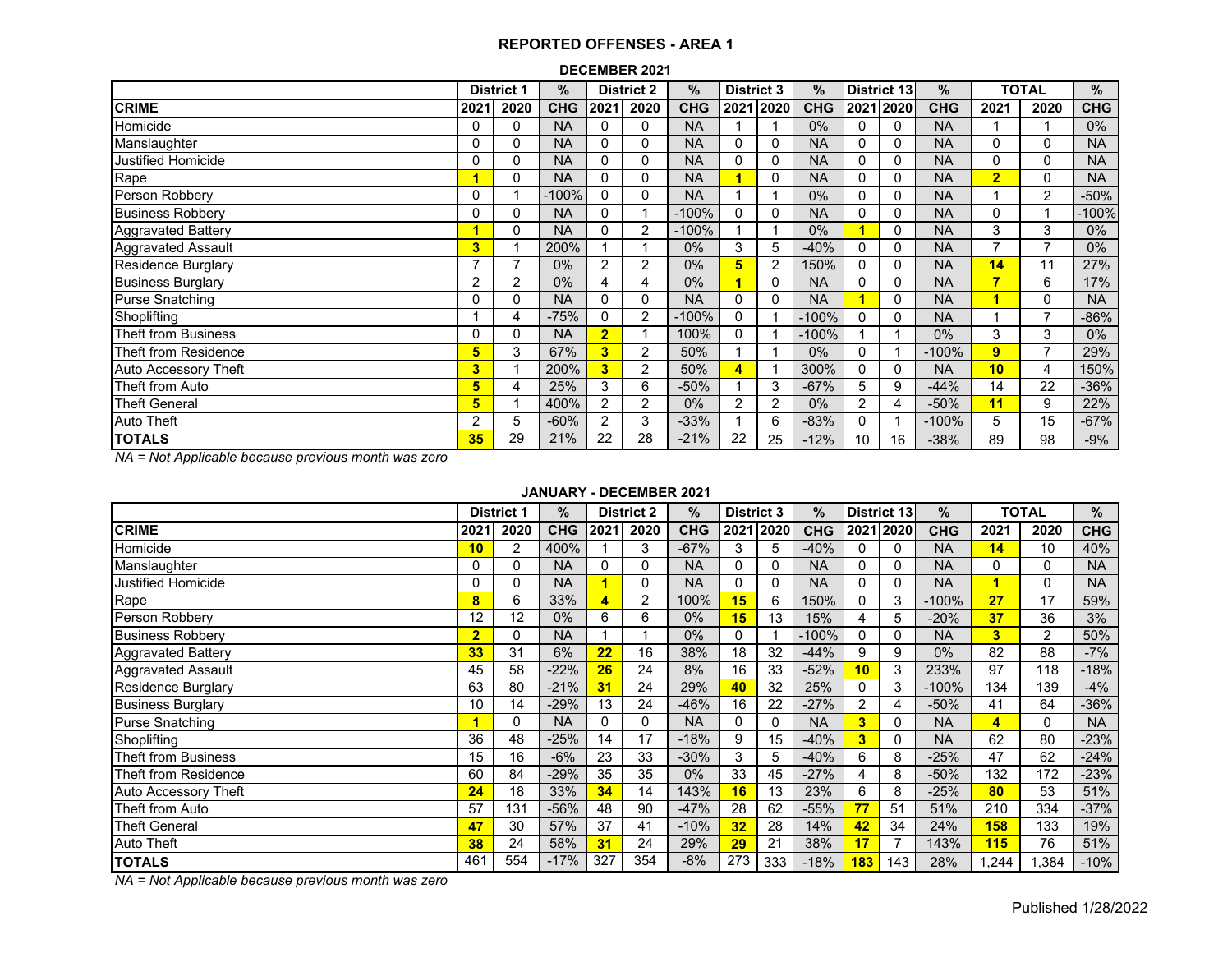#### **DECEMBER 2021**

|                             |                | <b>District 1</b> | %          |                | <b>District 2</b> | %          | <b>District 3</b>       |      | $\%$       |          | District 13 | $\%$       |                | <b>TOTAL</b>   | %          |
|-----------------------------|----------------|-------------------|------------|----------------|-------------------|------------|-------------------------|------|------------|----------|-------------|------------|----------------|----------------|------------|
| <b>CRIME</b>                | 2021           | 2020              | <b>CHG</b> | 2021           | 2020              | <b>CHG</b> | 2021                    | 2020 | <b>CHG</b> |          | 2021 2020   | <b>CHG</b> | 2021           | 2020           | <b>CHG</b> |
| Homicide                    | 0              | 0                 | <b>NA</b>  | 0              | 0                 | <b>NA</b>  |                         |      | 0%         | $\Omega$ | 0           | <b>NA</b>  |                |                | $0\%$      |
| Manslaughter                | 0              | 0                 | <b>NA</b>  | 0              | 0                 | <b>NA</b>  | $\Omega$                | 0    | <b>NA</b>  | $\Omega$ | 0           | <b>NA</b>  | 0              | 0              | <b>NA</b>  |
| Justified Homicide          | 0              | 0                 | <b>NA</b>  | 0              | 0                 | <b>NA</b>  | 0                       | 0    | <b>NA</b>  | $\Omega$ | 0           | <b>NA</b>  | 0              | 0              | <b>NA</b>  |
| Rape                        |                | 0                 | <b>NA</b>  | $\mathbf{0}$   | 0                 | <b>NA</b>  |                         | 0    | <b>NA</b>  | $\Omega$ | 0           | <b>NA</b>  | $\overline{2}$ | 0              | <b>NA</b>  |
| Person Robbery              | 0              |                   | $-100%$    | 0              | 0                 | <b>NA</b>  |                         |      | 0%         | 0        | 0           | <b>NA</b>  |                | 2              | $-50%$     |
| <b>Business Robbery</b>     | 0              | $\Omega$          | <b>NA</b>  | 0              |                   | $-100%$    | $\Omega$                | 0    | <b>NA</b>  | 0        | 0           | <b>NA</b>  | 0              |                | -100%      |
| <b>Aggravated Battery</b>   |                | 0                 | <b>NA</b>  | $\mathbf{0}$   | $\overline{2}$    | $-100%$    |                         |      | 0%         | z        | 0           | <b>NA</b>  | 3              | 3              | $0\%$      |
| Aggravated Assault          | 3              |                   | 200%       |                |                   | 0%         | 3                       | 5    | $-40%$     | 0        | 0           | <b>NA</b>  |                |                | $0\%$      |
| <b>Residence Burglary</b>   |                |                   | 0%         | 2              | 2                 | 0%         | 5                       | 2    | 150%       | 0        | 0           | <b>NA</b>  | 14             | 11             | 27%        |
| <b>Business Burglary</b>    | $\overline{2}$ | 2                 | 0%         | 4              | 4                 | 0%         |                         | 0    | <b>NA</b>  | 0        | 0           | <b>NA</b>  | ∍              | 6              | 17%        |
| <b>Purse Snatching</b>      | 0              | 0                 | <b>NA</b>  | 0              | 0                 | <b>NA</b>  | $\mathbf{0}$            | 0    | <b>NA</b>  | ٠        | 0           | <b>NA</b>  |                | $\Omega$       | <b>NA</b>  |
| Shoplifting                 |                | 4                 | $-75%$     | 0              | $\overline{2}$    | $-100%$    | $\Omega$                |      | $-100%$    | 0        | 0           | <b>NA</b>  |                | $\overline{7}$ | $-86%$     |
| Theft from Business         | 0              | 0                 | <b>NA</b>  | $\overline{2}$ |                   | 100%       | 0                       |      | $-100%$    |          |             | $0\%$      | 3              | 3              | $0\%$      |
| Theft from Residence        | 5              | 3                 | 67%        | 3              | 2                 | 50%        |                         |      | 0%         | $\Omega$ |             | $-100%$    | 9              |                | 29%        |
| <b>Auto Accessory Theft</b> | 3              |                   | 200%       | 3              | 2                 | 50%        | $\overline{\mathbf{4}}$ |      | 300%       | 0        | 0           | <b>NA</b>  | 10             | 4              | 150%       |
| Theft from Auto             | 5              | 4                 | 25%        | 3              | 6                 | $-50%$     |                         | 3    | $-67%$     | 5        | 9           | $-44%$     | 14             | 22             | $-36%$     |
| <b>Theft General</b>        | 5              |                   | 400%       | $\overline{2}$ | $\overline{2}$    | 0%         | 2                       | 2    | 0%         | 2        | 4           | $-50%$     | 11             | 9              | 22%        |
| <b>Auto Theft</b>           | 2              | 5                 | $-60%$     | $\overline{2}$ | 3                 | $-33%$     |                         | 6    | $-83%$     | 0        |             | $-100%$    | 5              | 15             | $-67%$     |
| <b>TOTALS</b>               | 35             | 29                | 21%        | 22             | 28                | $-21%$     | 22                      | 25   | $-12%$     | 10       | 16          | $-38%$     | 89             | 98             | $-9%$      |

*NA = Not Applicable because previous month was zero*

#### **JANUARY - DECEMBER 2021**

|                           |                | <b>District 1</b> | $\%$       |          | <b>District 2</b> | %          | <b>District 3</b> |           | $\%$       |                         | District 13    | %          |                         | <b>TOTAL</b> | $\%$       |
|---------------------------|----------------|-------------------|------------|----------|-------------------|------------|-------------------|-----------|------------|-------------------------|----------------|------------|-------------------------|--------------|------------|
| <b>CRIME</b>              | 2021           | 2020              | <b>CHG</b> | 2021     | 2020              | <b>CHG</b> |                   | 2021 2020 | <b>CHG</b> |                         | 2021 2020      | <b>CHG</b> | 2021                    | 2020         | <b>CHG</b> |
| Homicide                  | 10             | $\overline{2}$    | 400%       |          | 3                 | $-67%$     | 3                 | 5         | $-40%$     |                         | 0              | <b>NA</b>  | 14                      | 10           | 40%        |
| Manslaughter              | 0              | 0                 | <b>NA</b>  | $\Omega$ | 0                 | <b>NA</b>  | 0                 | 0         | <b>NA</b>  | 0                       | 0              | <b>NA</b>  | $\Omega$                | $\Omega$     | <b>NA</b>  |
| <b>Justified Homicide</b> | 0              | 0                 | <b>NA</b>  |          | 0                 | <b>NA</b>  | $\Omega$          | 0         | <b>NA</b>  | 0                       | 0              | <b>NA</b>  |                         | 0            | <b>NA</b>  |
| Rape                      | 8              | 6                 | 33%        |          | 2                 | 100%       | 15                | 6         | 150%       | 0                       | 3              | $-100%$    | 27                      | 17           | 59%        |
| Person Robbery            | 12             | 12                | 0%         | 6        | 6                 | $0\%$      | 15                | 13        | 15%        | 4                       | 5              | $-20%$     | 37                      | 36           | 3%         |
| <b>Business Robbery</b>   | $\overline{2}$ | 0                 | <b>NA</b>  |          |                   | $0\%$      | $\mathbf{0}$      |           | $-100%$    | 0                       | 0              | <b>NA</b>  | 3                       | 2            | 50%        |
| <b>Aggravated Battery</b> | 33             | 31                | 6%         | 22       | 16                | 38%        | 18                | 32        | $-44%$     | 9                       | 9              | 0%         | 82                      | 88           | $-7%$      |
| <b>Aggravated Assault</b> | 45             | 58                | $-22%$     | 26       | 24                | 8%         | 16                | 33        | $-52%$     | 10                      | 3              | 233%       | 97                      | 118          | $-18%$     |
| <b>Residence Burglary</b> | 63             | 80                | $-21%$     | 31       | 24                | 29%        | 40                | 32        | 25%        | 0                       | 3              | $-100%$    | 134                     | 139          | $-4%$      |
| <b>Business Burglary</b>  | 10             | 14                | $-29%$     | 13       | 24                | $-46%$     | 16                | 22        | $-27%$     | $\overline{2}$          | 4              | $-50%$     | 41                      | 64           | $-36%$     |
| <b>Purse Snatching</b>    |                | 0                 | <b>NA</b>  | $\Omega$ | 0                 | <b>NA</b>  | $\Omega$          | 0         | <b>NA</b>  | 3                       | 0              | <b>NA</b>  | $\overline{\mathbf{A}}$ | $\Omega$     | <b>NA</b>  |
| Shoplifting               | 36             | 48                | $-25%$     | 14       | 17                | $-18%$     | 9                 | 15        | $-40%$     | $\overline{\mathbf{3}}$ | $\Omega$       | <b>NA</b>  | 62                      | 80           | $-23%$     |
| Theft from Business       | 15             | 16                | $-6%$      | 23       | 33                | $-30%$     | 3                 | 5         | $-40%$     | 6                       | 8              | $-25%$     | 47                      | 62           | $-24%$     |
| Theft from Residence      | 60             | 84                | $-29%$     | 35       | 35                | $0\%$      | 33                | 45        | $-27%$     |                         | 8              | $-50%$     | 132                     | 172          | $-23%$     |
| Auto Accessory Theft      | 24             | 18                | 33%        | 34       | 14                | 143%       | 16                | 13        | 23%        | 6                       | 8              | $-25%$     | 80                      | 53           | 51%        |
| Theft from Auto           | 57             | 131               | $-56%$     | 48       | 90                | $-47%$     | 28                | 62        | $-55%$     | 77                      | 51             | 51%        | 210                     | 334          | $-37%$     |
| <b>Theft General</b>      | 47             | 30                | 57%        | 37       | 41                | $-10%$     | 32                | 28        | 14%        | 42                      | 34             | 24%        | 158                     | 133          | 19%        |
| Auto Theft                | 38             | 24                | 58%        | 31       | 24                | 29%        | 29                | 21        | 38%        | 17                      | $\overline{7}$ | 143%       | 115                     | 76           | 51%        |
| <b>TOTALS</b>             | 461            | 554               | $-17%$     | 327      | 354               | $-8%$      | 273               | 333       | $-18%$     | 183                     | 143            | 28%        | .244                    | .384         | $-10%$     |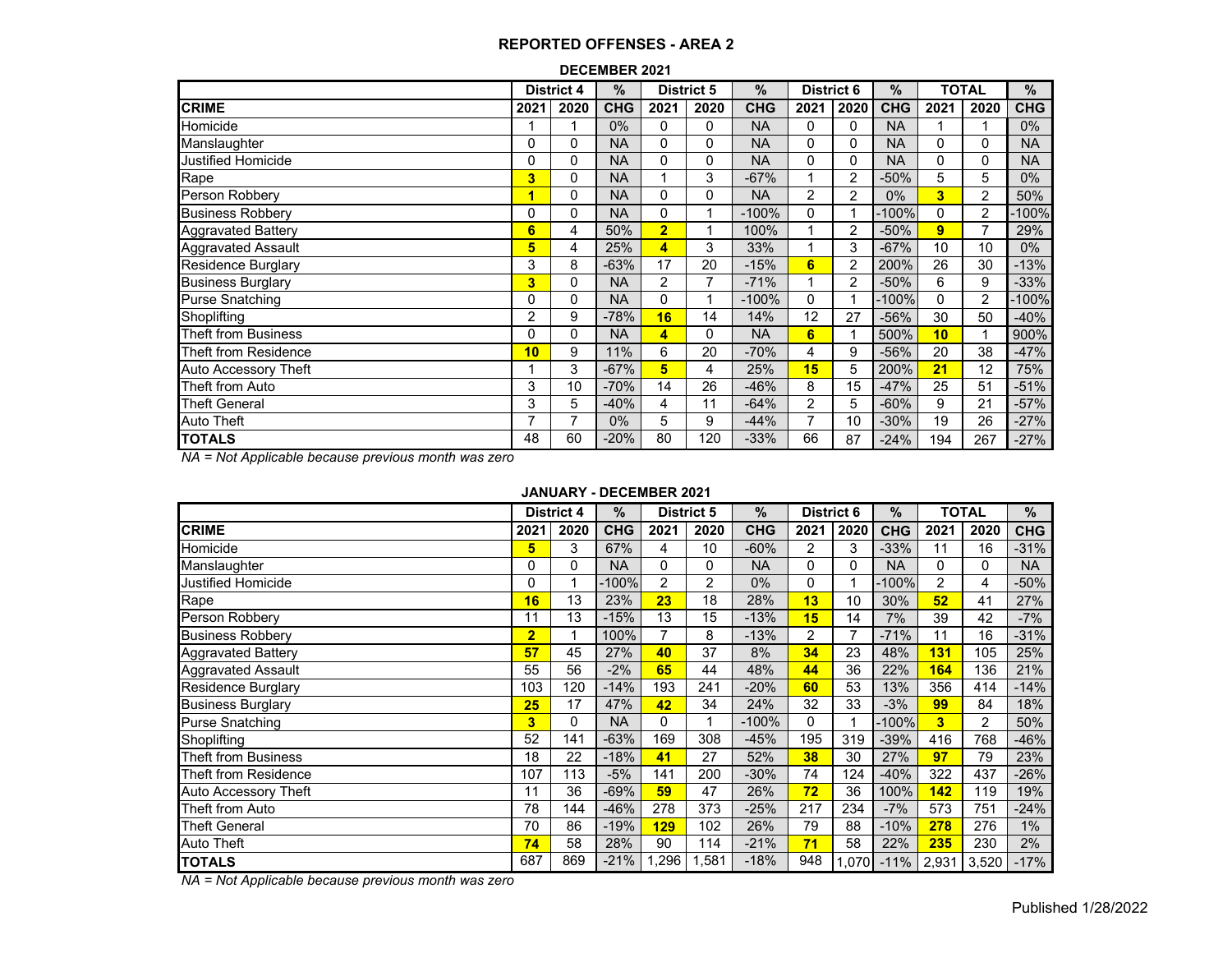#### **DECEMBER 2021**

|                             | <b>District 4</b> |      | $\frac{9}{6}$ | <b>District 5</b> |      | $\%$       | <b>District 6</b> |      | $\%$       |      | <b>TOTAL</b> |            |
|-----------------------------|-------------------|------|---------------|-------------------|------|------------|-------------------|------|------------|------|--------------|------------|
| <b>CRIME</b>                | 2021              | 2020 | <b>CHG</b>    | 2021              | 2020 | <b>CHG</b> | 2021              | 2020 | <b>CHG</b> | 2021 | 2020         | <b>CHG</b> |
| Homicide                    |                   |      | $0\%$         | 0                 | 0    | <b>NA</b>  | 0                 | 0    | <b>NA</b>  |      |              | $0\%$      |
| Manslaughter                | 0                 | 0    | <b>NA</b>     | 0                 | 0    | <b>NA</b>  | 0                 | 0    | <b>NA</b>  | 0    | 0            | <b>NA</b>  |
| <b>Justified Homicide</b>   | 0                 | 0    | <b>NA</b>     | 0                 | 0    | <b>NA</b>  | 0                 | 0    | <b>NA</b>  | 0    | 0            | <b>NA</b>  |
| Rape                        | 3                 | 0    | <b>NA</b>     |                   | 3    | $-67%$     |                   | 2    | $-50%$     | 5    | 5            | $0\%$      |
| Person Robbery              | 1                 | 0    | <b>NA</b>     | 0                 | 0    | <b>NA</b>  | 2                 | 2    | $0\%$      | 3    | 2            | 50%        |
| <b>Business Robbery</b>     | 0                 | 0    | <b>NA</b>     | 0                 |      | $-100%$    | 0                 |      | $-100%$    | 0    | 2            | $-100%$    |
| <b>Aggravated Battery</b>   | 6                 | 4    | 50%           | $\overline{2}$    |      | 100%       | 4                 | 2    | $-50%$     | 9    | 7            | 29%        |
| <b>Aggravated Assault</b>   | 5                 | 4    | 25%           | 4                 | 3    | 33%        |                   | 3    | $-67%$     | 10   | 10           | $0\%$      |
| <b>Residence Burglary</b>   | 3                 | 8    | $-63%$        | 17                | 20   | $-15%$     | 6                 | 2    | 200%       | 26   | 30           | $-13%$     |
| <b>Business Burglary</b>    | 3                 | 0    | <b>NA</b>     | $\overline{2}$    | 7    | $-71%$     |                   | 2    | $-50%$     | 6    | 9            | $-33%$     |
| <b>Purse Snatching</b>      | 0                 | 0    | <b>NA</b>     | 0                 |      | $-100%$    | 0                 |      | $-100%$    | 0    | 2            | $-100\%$   |
| Shoplifting                 | 2                 | 9    | $-78%$        | 16                | 14   | 14%        | 12                | 27   | $-56%$     | 30   | 50           | $-40%$     |
| <b>Theft from Business</b>  | 0                 | 0    | <b>NA</b>     | 4                 | 0    | <b>NA</b>  | 6                 |      | 500%       | 10   |              | 900%       |
| Theft from Residence        | 10                | 9    | 11%           | 6                 | 20   | $-70%$     | 4                 | 9    | -56%       | 20   | 38           | $-47%$     |
| <b>Auto Accessory Theft</b> |                   | 3    | $-67%$        | 5                 | 4    | 25%        | 15                | 5    | 200%       | 21   | 12           | 75%        |
| Theft from Auto             | 3                 | 10   | $-70%$        | 14                | 26   | $-46%$     | 8                 | 15   | $-47%$     | 25   | 51           | $-51%$     |
| <b>Theft General</b>        | 3                 | 5    | $-40%$        | 4                 | 11   | $-64%$     | 2                 | 5    | $-60%$     | 9    | 21           | $-57%$     |
| Auto Theft                  | $\overline{7}$    | 7    | 0%            | 5                 | 9    | $-44%$     | $\overline{7}$    | 10   | $-30%$     | 19   | 26           | $-27%$     |
| <b>TOTALS</b>               | 48                | 60   | $-20%$        | 80                | 120  | $-33%$     | 66                | 87   | $-24%$     | 194  | 267          | $-27%$     |

*NA = Not Applicable because previous month was zero*

#### **JANUARY - DECEMBER 2021**

|                            | <b>District 4</b> |          | %          | <b>District 5</b> |       | $\frac{0}{0}$ | <b>District 6</b> |       | $\%$       |                | <b>TOTAL</b> | %          |
|----------------------------|-------------------|----------|------------|-------------------|-------|---------------|-------------------|-------|------------|----------------|--------------|------------|
| <b>CRIME</b>               | 2021              | 2020     | <b>CHG</b> | 2021              | 2020  | <b>CHG</b>    | 2021              | 2020  | <b>CHG</b> | 2021           | 2020         | <b>CHG</b> |
| Homicide                   | 5                 | 3        | 67%        | 4                 | 10    | $-60%$        | $\overline{2}$    | 3     | $-33%$     | 11             | 16           | $-31%$     |
| Manslaughter               | 0                 | $\Omega$ | <b>NA</b>  | $\Omega$          | 0     | <b>NA</b>     | 0                 | 0     | <b>NA</b>  | $\Omega$       | 0            | <b>NA</b>  |
| Justified Homicide         | 0                 |          | $-100%$    | $\overline{2}$    | 2     | $0\%$         | 0                 |       | $-100%$    | $\overline{2}$ | 4            | $-50%$     |
| Rape                       | 16                | 13       | 23%        | 23                | 18    | 28%           | 13                | 10    | 30%        | 52             | 41           | 27%        |
| Person Robbery             | 11                | 13       | $-15%$     | 13                | 15    | $-13%$        | 15                | 14    | 7%         | 39             | 42           | $-7%$      |
| <b>Business Robbery</b>    | $\overline{2}$    |          | 100%       | 7                 | 8     | $-13%$        | $\overline{2}$    |       | $-71%$     | 11             | 16           | $-31%$     |
| <b>Aggravated Battery</b>  | 57                | 45       | 27%        | 40                | 37    | 8%            | 34                | 23    | 48%        | 131            | 105          | 25%        |
| <b>Aggravated Assault</b>  | 55                | 56       | $-2%$      | 65                | 44    | 48%           | 44                | 36    | 22%        | 164            | 136          | 21%        |
| <b>Residence Burglary</b>  | 103               | 120      | $-14%$     | 193               | 241   | $-20%$        | 60                | 53    | 13%        | 356            | 414          | $-14%$     |
| <b>Business Burglary</b>   | 25                | 17       | 47%        | 42                | 34    | 24%           | 32                | 33    | $-3%$      | 99             | 84           | 18%        |
| <b>Purse Snatching</b>     | 3                 | 0        | <b>NA</b>  | 0                 |       | $-100%$       | $\Omega$          |       | $-100%$    | 3              | 2            | 50%        |
| Shoplifting                | 52                | 141      | $-63%$     | 169               | 308   | $-45%$        | 195               | 319   | $-39%$     | 416            | 768          | $-46%$     |
| <b>Theft from Business</b> | 18                | 22       | $-18%$     | 41                | 27    | 52%           | 38                | 30    | 27%        | 97             | 79           | 23%        |
| Theft from Residence       | 107               | 113      | $-5%$      | 141               | 200   | $-30%$        | 74                | 124   | $-40%$     | 322            | 437          | $-26%$     |
| Auto Accessory Theft       | 11                | 36       | $-69%$     | 59                | 47    | 26%           | 72                | 36    | 100%       | 142            | 119          | 19%        |
| Theft from Auto            | 78                | 144      | $-46%$     | 278               | 373   | $-25%$        | 217               | 234   | $-7%$      | 573            | 751          | $-24%$     |
| <b>Theft General</b>       | 70                | 86       | $-19%$     | 129               | 102   | 26%           | 79                | 88    | $-10%$     | 278            | 276          | 1%         |
| <b>Auto Theft</b>          | 74                | 58       | 28%        | 90                | 114   | $-21%$        | 71                | 58    | 22%        | 235            | 230          | 2%         |
| <b>TOTALS</b>              | 687               | 869      | $-21%$     | .296              | 1,581 | $-18%$        | 948               | 1,070 | $-11%$     | 2,931          | 3,520        | $-17%$     |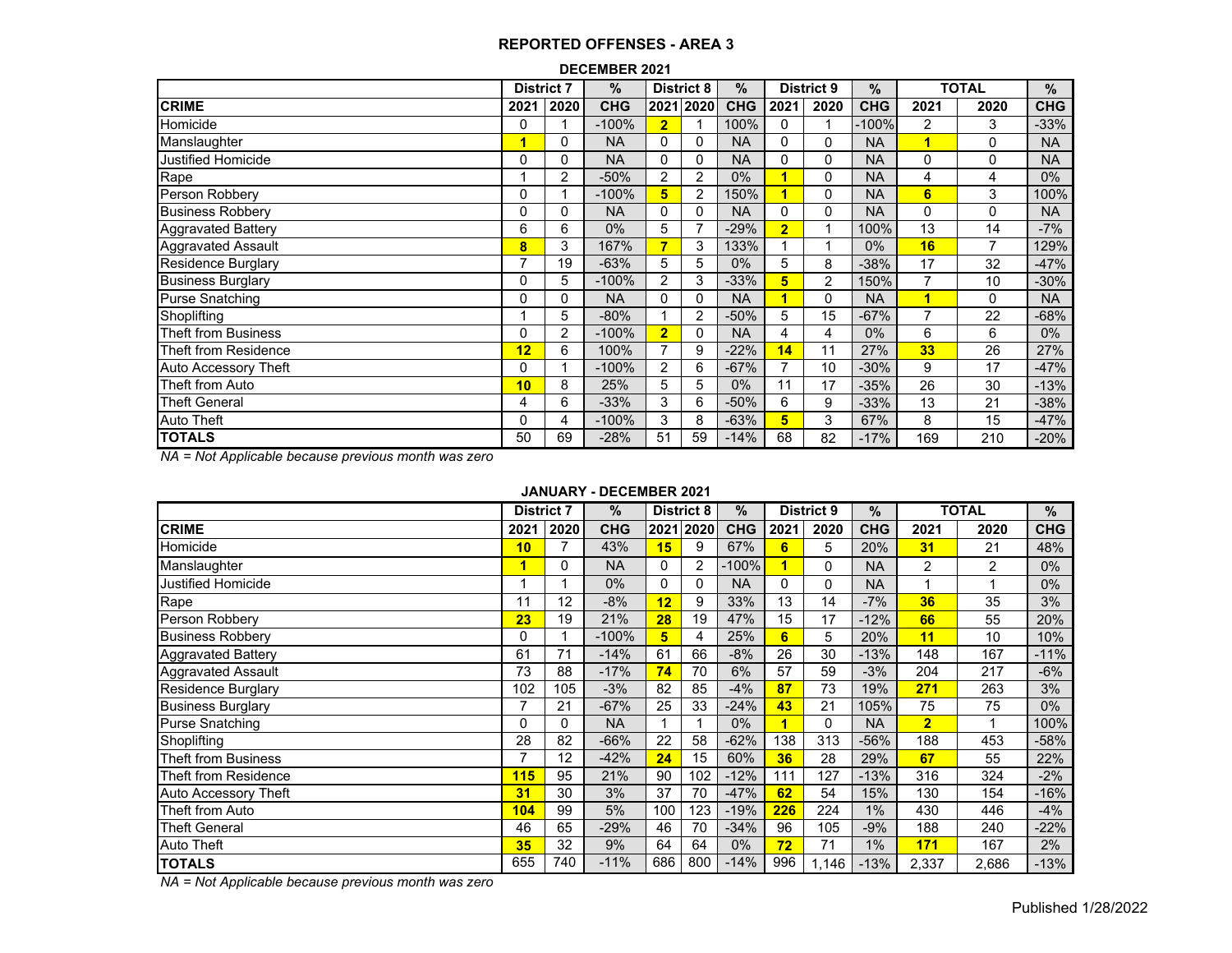|                             | <b>District 7</b> |                | $\%$       | <b>District 8</b> |           | $\%$       | <b>District 9</b> |                | $\%$       | <b>TOTAL</b> |      | %          |
|-----------------------------|-------------------|----------------|------------|-------------------|-----------|------------|-------------------|----------------|------------|--------------|------|------------|
| <b>CRIME</b>                | 2021              | 2020           | <b>CHG</b> |                   | 2021 2020 | <b>CHG</b> | 2021              | 2020           | <b>CHG</b> | 2021         | 2020 | <b>CHG</b> |
| Homicide                    | 0                 |                | $-100%$    | $\overline{2}$    |           | 100%       | 0                 |                | $-100%$    | 2            | 3    | $-33%$     |
| Manslaughter                | 1                 | 0              | <b>NA</b>  | 0                 | $\Omega$  | <b>NA</b>  | 0                 | 0              | <b>NA</b>  | Ч.           | 0    | <b>NA</b>  |
| <b>Justified Homicide</b>   | 0                 | 0              | <b>NA</b>  | $\Omega$          | $\Omega$  | <b>NA</b>  | 0                 | 0              | <b>NA</b>  | $\Omega$     | 0    | <b>NA</b>  |
| Rape                        |                   | $\overline{2}$ | $-50%$     | 2                 | 2         | $0\%$      |                   | 0              | <b>NA</b>  | 4            | 4    | 0%         |
| Person Robbery              | 0                 |                | $-100%$    | 5                 | 2         | 150%       |                   | 0              | <b>NA</b>  | 6            | 3    | 100%       |
| <b>Business Robbery</b>     | 0                 | $\Omega$       | <b>NA</b>  | 0                 | 0         | <b>NA</b>  | 0                 | 0              | <b>NA</b>  | 0            | 0    | <b>NA</b>  |
| <b>Aggravated Battery</b>   | 6                 | 6              | $0\%$      | 5                 | 7         | $-29%$     | $\overline{2}$    |                | 100%       | 13           | 14   | $-7%$      |
| <b>Aggravated Assault</b>   | 8                 | 3              | 167%       | 7                 | 3         | 133%       |                   |                | $0\%$      | 16           | 7    | 129%       |
| Residence Burglary          |                   | 19             | $-63%$     | 5                 | 5         | 0%         | 5                 | 8              | $-38%$     | 17           | 32   | $-47%$     |
| <b>Business Burglary</b>    | 0                 | 5              | $-100%$    | 2                 | 3         | $-33%$     | 5                 | $\overline{c}$ | 150%       | 7            | 10   | $-30%$     |
| <b>Purse Snatching</b>      | 0                 | 0              | <b>NA</b>  | 0                 | 0         | <b>NA</b>  |                   | 0              | <b>NA</b>  | 1            | 0    | <b>NA</b>  |
| Shoplifting                 |                   | 5              | $-80%$     |                   | 2         | $-50%$     | 5                 | 15             | $-67%$     | 7            | 22   | $-68%$     |
| Theft from Business         | 0                 | $\overline{2}$ | $-100%$    | $\overline{2}$    | 0         | <b>NA</b>  | 4                 | 4              | $0\%$      | 6            | 6    | $0\%$      |
| Theft from Residence        | 12                | 6              | 100%       | $\overline{7}$    | 9         | $-22%$     | 14                | 11             | 27%        | 33           | 26   | 27%        |
| <b>Auto Accessory Theft</b> | 0                 |                | $-100%$    | $\overline{2}$    | 6         | $-67%$     | 7                 | 10             | $-30%$     | 9            | 17   | $-47%$     |
| Theft from Auto             | 10                | 8              | 25%        | 5                 | 5         | $0\%$      | 11                | 17             | $-35%$     | 26           | 30   | $-13%$     |
| <b>Theft General</b>        | 4                 | 6              | $-33%$     | 3                 | 6         | $-50%$     | 6                 | 9              | $-33%$     | 13           | 21   | $-38%$     |
| <b>Auto Theft</b>           | 0                 | 4              | $-100%$    | 3                 | 8         | $-63%$     | 5                 | 3              | 67%        | 8            | 15   | -47%       |
| <b>TOTALS</b>               | 50                | 69             | $-28%$     | 51                | 59        | $-14%$     | 68                | 82             | $-17%$     | 169          | 210  | $-20%$     |

*NA = Not Applicable because previous month was zero*

# **JANUARY - DECEMBER 2021**

|                             | <b>District 7</b> |          | %          |     | <b>District 8</b> |            | <b>District 9</b> |              | $\%$       |                | <b>TOTAL</b>   | %          |
|-----------------------------|-------------------|----------|------------|-----|-------------------|------------|-------------------|--------------|------------|----------------|----------------|------------|
| <b>CRIME</b>                | 2021              | 2020     | <b>CHG</b> |     | 2021 2020         | <b>CHG</b> | 2021              | 2020         | <b>CHG</b> | 2021           | 2020           | <b>CHG</b> |
| Homicide                    | 10                |          | 43%        | 15  | 9                 | 67%        | 6                 | 5            | 20%        | 31             | 21             | 48%        |
| Manslaughter                | 1                 | 0        | <b>NA</b>  | 0   | 2                 | $-100\%$   |                   | $\mathbf{0}$ | <b>NA</b>  | $\overline{2}$ | $\overline{2}$ | $0\%$      |
| Justified Homicide          |                   | 4        | $0\%$      | 0   | $\Omega$          | <b>NA</b>  | 0                 | $\Omega$     | <b>NA</b>  |                | 1              | $0\%$      |
| Rape                        | 11                | 12       | $-8%$      | 12  | 9                 | 33%        | 13                | 14           | $-7%$      | 36             | 35             | 3%         |
| Person Robbery              | 23                | 19       | 21%        | 28  | 19                | 47%        | 15                | 17           | $-12%$     | 66             | 55             | 20%        |
| <b>Business Robbery</b>     | 0                 |          | $-100%$    | 5   | 4                 | 25%        | 6                 | 5            | 20%        | 11             | 10             | 10%        |
| <b>Aggravated Battery</b>   | 61                | 71       | $-14%$     | 61  | 66                | $-8%$      | 26                | 30           | $-13%$     | 148            | 167            | $-11%$     |
| <b>Aggravated Assault</b>   | 73                | 88       | $-17%$     | 74  | 70                | 6%         | 57                | 59           | $-3%$      | 204            | 217            | $-6%$      |
| Residence Burglary          | 102               | 105      | $-3%$      | 82  | 85                | $-4%$      | 87                | 73           | 19%        | 271            | 263            | 3%         |
| <b>Business Burglary</b>    |                   | 21       | $-67%$     | 25  | 33                | $-24%$     | 43                | 21           | 105%       | 75             | 75             | $0\%$      |
| <b>Purse Snatching</b>      | $\Omega$          | $\Omega$ | <b>NA</b>  |     | 1                 | $0\%$      |                   | $\Omega$     | <b>NA</b>  | $\overline{2}$ |                | 100%       |
| Shoplifting                 | 28                | 82       | $-66%$     | 22  | 58                | $-62%$     | 138               | 313          | $-56%$     | 188            | 453            | $-58%$     |
| <b>Theft from Business</b>  | 7                 | 12       | $-42%$     | 24  | 15                | 60%        | 36                | 28           | 29%        | 67             | 55             | 22%        |
| Theft from Residence        | 115               | 95       | 21%        | 90  | 102               | $-12%$     | 111               | 127          | $-13%$     | 316            | 324            | $-2%$      |
| <b>Auto Accessory Theft</b> | 31                | 30       | 3%         | 37  | 70                | $-47%$     | 62                | 54           | 15%        | 130            | 154            | $-16%$     |
| Theft from Auto             | 104               | 99       | 5%         | 100 | 123               | $-19%$     | 226               | 224          | 1%         | 430            | 446            | $-4%$      |
| <b>Theft General</b>        | 46                | 65       | $-29%$     | 46  | 70                | $-34%$     | 96                | 105          | $-9%$      | 188            | 240            | $-22%$     |
| Auto Theft                  | 35                | 32       | 9%         | 64  | 64                | $0\%$      | 72                | 71           | $1\%$      | 171            | 167            | 2%         |
| <b>TOTALS</b>               | 655               | 740      | $-11%$     | 686 | 800               | $-14%$     | 996               | 1,146        | $-13%$     | 2,337          | 2,686          | $-13%$     |